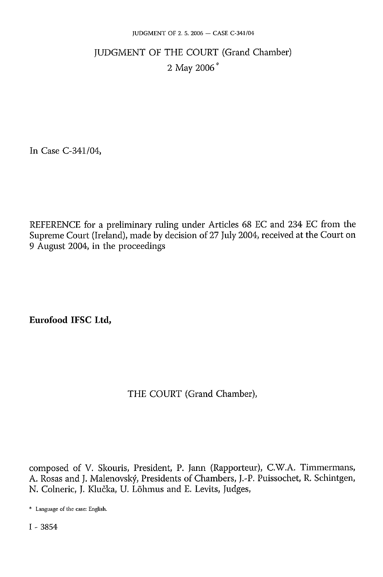# JUDGMENT OF THE COURT (Grand Chamber) 2 May 2006 \*

In Case C-341/04,

REFERENCE for a preliminary ruling under Articles 68 EC and 234 EC from the Supreme Court (Ireland), made by decision of 27 July 2004, received at the Court on 9 August 2004, in the proceedings

**Eurofood IFSC Ltd,** 

### THE COURT (Grand Chamber),

composed of V. Skouris, President, P. Jann (Rapporteur), C.W.A. Timmermans, A. Rosas and J. Malenovský, Presidents of Chambers, J.-P. Puissochet, R. Schintgen, N. Colneric, J. Klučka, U. Lõhmus and E. Levits, Judges,

<sup>\*</sup> Language of the case: English.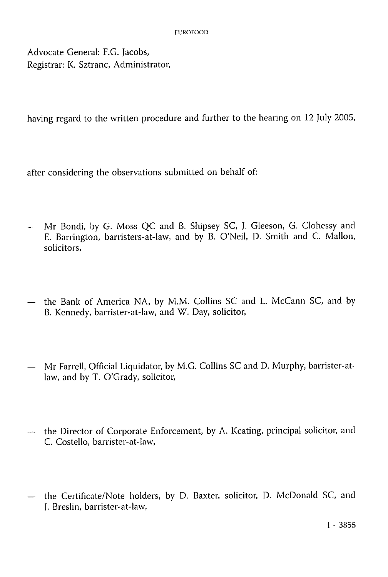Advocate General: F.G. Jacobs, Registrar: K. Sztranc, Administrator,

having regard to the written procedure and further to the hearing on 12 July 2005,

after considering the observations submitted on behalf of:

- Mr Bondi, by G. Moss QC and B. Shipsey SC, J. Gleeson, G. Clohessy and E. Barrington, barristers-at-law, and by B. O'Neil, D. Smith and C. Mallon, solicitors,
- the Bank of America NA, by M.M. Collins SC and L. McCann SC, and by B. Kennedy, barrister-at-law, and W. Day, solicitor,
- Mr Farrell, Official Liquidator, by M.G. Collins SC and D. Murphy, barrister-atlaw, and by T. O'Grady, solicitor,
- the Director of Corporate Enforcement, by A. Keating, principal solicitor, and C. Costello, barrister-at-law,
- the Certificate/Note holders, by D. Baxter, solicitor, D. McDonald SC, and J. Breslin, barrister-at-law,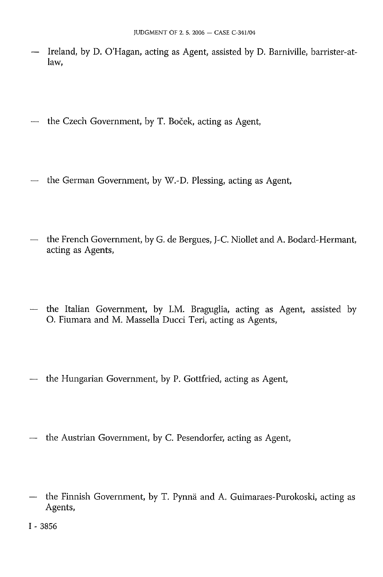- Ireland, by D. O'Hagan, acting as Agent, assisted by D. Barniville, barrister-atlaw,
- the Czech Government, by T. Boček, acting as Agent,
- the German Government, by W.-D. Plessing, acting as Agent,
- the French Government, by G. de Bergues, J-C. Niollet and A. Bodard-Hermant, acting as Agents,
- the Italian Government, by I.M. Braguglia, acting as Agent, assisted by O. Fiumara and M. Massella Ducci Teri, acting as Agents,
- the Hungarian Government, by P. Gottfried, acting as Agent,
- the Austrian Government, by C. Pesendorfer, acting as Agent,
- the Finnish Government, by T. Pynnä and A. Guimaraes-Purokoski, acting as Agents,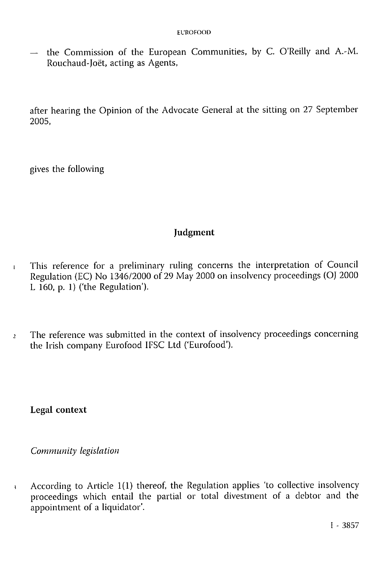— the Commission of the European Communities, by C. O'Reilly and A.-M. Rouchaud-Joët, acting as Agents,

after hearing the Opinion of the Advocate General at the sitting on 27 September 2005,

gives the following

### **Judgment**

- 1 This reference for a preliminary ruling concerns the interpretation of Council Regulation (EC) No 1346/2000 of 29 May 2000 on insolvency proceedings (OJ 2000 L 160, p. 1) ('the Regulation').
- <sup>2</sup> The reference was submitted in the context of insolvency proceedings concerning the Irish company Eurofood IFSC Ltd ('Eurofood').

**Legal context** 

*Community legislation* 

*3* According to Article 1(1) thereof, the Regulation applies 'to collective insolvency proceedings which entail the partial or total divestment of a debtor and the appointment of a liquidator'.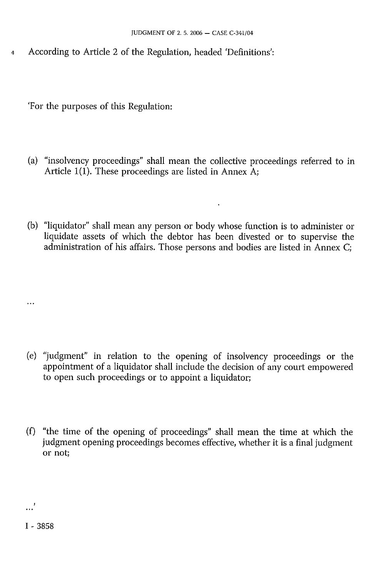According to Article 2 of the Regulation, headed 'Definitions':  $\overline{4}$ 

'For the purposes of this Regulation:

- (a) "insolvency proceedings" shall mean the collective proceedings referred to in Article 1(1). These proceedings are listed in Annex A;
- (b) "liquidator" shall mean any person or body whose function is to administer or liquidate assets of which the debtor has been divested or to supervise the administration of his affairs. Those persons and bodies are listed in Annex C;

- (e) "judgment" in relation to the opening of insolvency proceedings or the appointment of a liquidator shall include the decision of any court empowered to open such proceedings or to appoint a liquidator;
- (f) "the time of the opening of proceedings" shall mean the time at which the judgment opening proceedings becomes effective, whether it is a final judgment or not;

 $\ddotsc$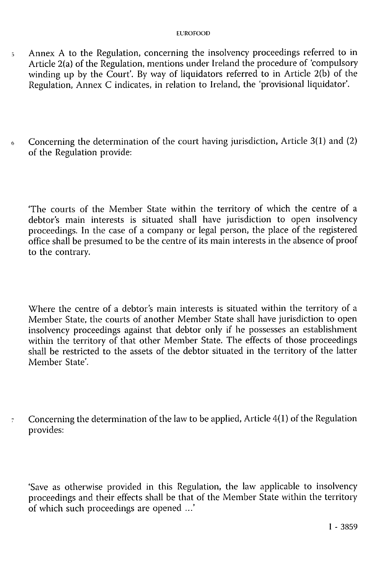#### EUROFOOD

- 5 Annex A to the Regulation, concerning the insolvency proceedings referred to in Article 2(a) of the Regulation, mentions under Ireland the procedure of 'compulsory winding up by the Court'. By way of liquidators referred to in Article  $2(b)$  of the Regulation, Annex C indicates, in relation to Ireland, the 'provisional liquidator'.
- $6$  Concerning the determination of the court having jurisdiction, Article 3(1) and (2) of the Regulation provide:

'The courts of the Member State within the territory of which the centre of a debtor's main interests is situated shall have jurisdiction to open insolvency proceedings. In the case of a company or legal person, the place of the registered office shall be presumed to be the centre of its main interests in the absence of proof to the contrary.

Where the centre of a debtor's main interests is situated within the territory of a Member State, the courts of another Member State shall have jurisdiction to open insolvency proceedings against that debtor only if he possesses an establishment within the territory of that other Member State. The effects of those proceedings shall be restricted to the assets of the debtor situated in the territory of the latter Member State'.

 $\tau$  Concerning the determination of the law to be applied, Article 4(1) of the Regulation provides:

'Save as otherwise provided in this Regulation, the law applicable to insolvency proceedings and their effects shall be that of the Member State within the territory of which such proceedings are opened ...'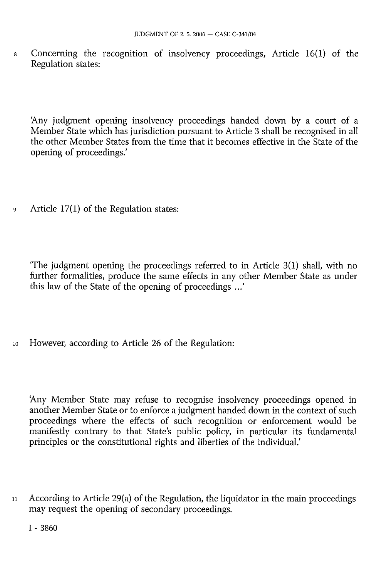8 Concerning the recognition of insolvency proceedings, Article 16(1) of the Regulation states:

'Any judgment opening insolvency proceedings handed down by a court of a Member State which has jurisdiction pursuant to Article 3 shall be recognised in all the other Member States from the time that it becomes effective in the State of the opening of proceedings.'

9 Article 17(1) of the Regulation states:

'The judgment opening the proceedings referred to in Article 3(1) shall, with no further formalities, produce the same effects in any other Member State as under this law of the State of the opening of proceedings  $\ldots$ "

10 However, according to Article 26 of the Regulation:

'Any Member State may refuse to recognise insolvency proceedings opened in another Member State or to enforce a judgment handed down in the context of such proceedings where the effects of such recognition or enforcement would be manifestly contrary to that State's public policy, in particular its fundamental principles or the constitutional rights and liberties of the individual.'

11 According to Article 29(a) of the Regulation, the liquidator in the main proceedings may request the opening of secondary proceedings.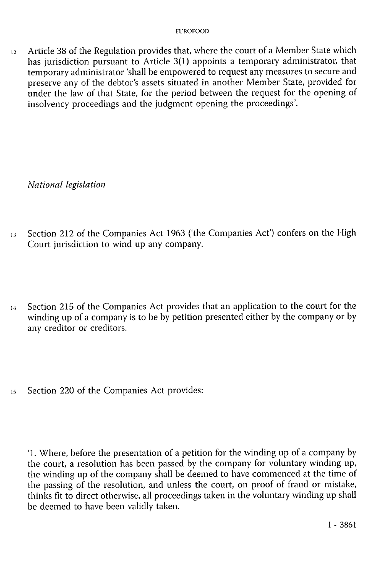$12$  Article 38 of the Regulation provides that, where the court of a Member State which has jurisdiction pursuant to Article 3(1) appoints a temporary administrator, that temporary administrator 'shall be empowered to request any measures to secure and preserve any of the debtor's assets situated in another Member State, provided for under the law of that State, for the period between the request for the opening of insolvency proceedings and the judgment opening the proceedings'.

*National legislation* 

- *13* Section 212 of the Companies Act 1963 ('the Companies Act') confers on the High Court jurisdiction to wind up any company.
- 14 Section 215 of the Companies Act provides that an application to the court for the winding up of a company is to be by petition presented either by the company or by any creditor or creditors.
- 15 Section 220 of the Companies Act provides:

'1. Where, before the presentation of a petition for the winding up of a company by the court, a resolution has been passed by the company for voluntary winding up, the winding up of the company shall be deemed to have commenced at the time of the passing of the resolution, and unless the court, on proof of fraud or mistake, thinks fit to direct otherwise, all proceedings taken in the voluntary winding up shall be deemed to have been validly taken.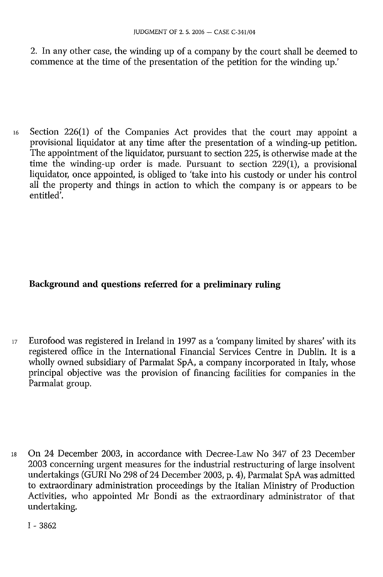2. In any other case, the winding up of a company by the court shall be deemed to commence at the time of the presentation of the petition for the winding up.'

16 Section 226(1) of the Companies Act provides that the court may appoint a provisional liquidator at any time after the presentation of a winding-up petition. The appointment of the liquidator, pursuant to section 225, is otherwise made at the time the winding-up order is made. Pursuant to section 229(1), a provisional liquidator, once appointed, is obliged to 'take into his custody or under his control all the property and things in action to which the company is or appears to be entitled'.

## **Background and questions referred for a preliminary ruling**

17 Eurofood was registered in Ireland in 1997 as a 'company limited by shares' with its registered office in the International Financial Services Centre in Dublin. It is a wholly owned subsidiary of Parmalat SpA, a company incorporated in Italy, whose principal objective was the provision of financing facilities for companies in the Parmalat group.

18 On 24 December 2003, in accordance with Decree-Law No 347 of 23 December 2003 concerning urgent measures for the industrial restructuring of large insolvent undertakings (GURI No 298 of 24 December 2003, p. 4), Parmalat SpA was admitted to extraordinary administration proceedings by the Italian Ministry of Production Activities, who appointed Mr Bondi as the extraordinary administrator of that undertaking.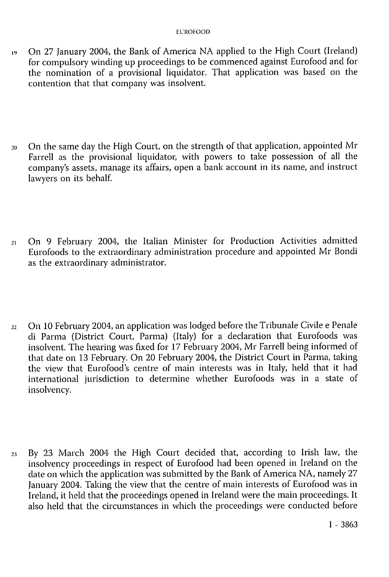- 19 On 27 January 2004, the Bank of America NA applied to the High Court (Ireland) for compulsory winding up proceedings to be commenced against Eurofood and for the nomination of a provisional liquidator. That application was based on the contention that that company was insolvent.
- 20 On the same day the High Court, on the strength of that application, appointed Mr Farrell as the provisional liquidator, with powers to take possession of all the company's assets, manage its affairs, open a bank account in its name, and instruct lawyers on its behalf.
- 21 On 9 February 2004, the Italian Minister for Production Activities admitted Eurofoods to the extraordinary administration procedure and appointed Mr Bondi as the extraordinary administrator.
- *22* On 10 February 2004, an application was lodged before the Tribunale Civile e Penale di Parma (District Court, Parma) (Italy) for a declaration that Eurofoods was insolvent. The hearing was fixed for 17 February 2004, Mr Farrell being informed of that date on 13 February. On 20 February 2004, the District Court in Parma, taking the view that Eurofood's centre of main interests was in Italy, held that it had international jurisdiction to determine whether Eurofoods was in a state of insolvency.
- 23 By 23 March 2004 the High Court decided that, according to Irish law, the insolvency proceedings in respect of Eurofood had been opened in Ireland on the date on which the application was submitted by the Bank of America NA, namely 27 January 2004. Taking the view that the centre of main interests of Eurofood was in Ireland, it held that the proceedings opened in Ireland were the main proceedings. It also held that the circumstances in which the proceedings were conducted before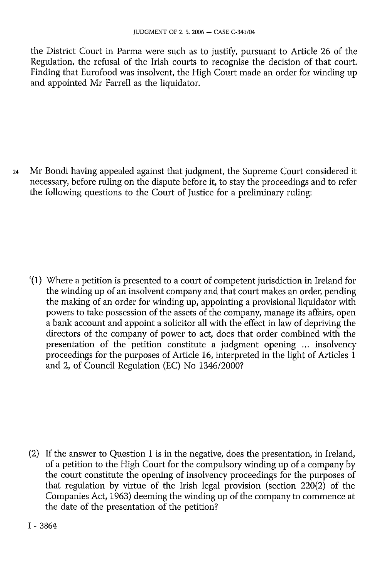the District Court in Parma were such as to justify, pursuant to Article 26 of the Regulation, the refusal of the Irish courts to recognise the decision of that court. Finding that Eurofood was insolvent, the High Court made an order for winding up and appointed Mr Farrell as the liquidator.

24 Mr Bondi having appealed against that judgment, the Supreme Court considered it necessary, before ruling on the dispute before it, to stay the proceedings and to refer the following questions to the Court of Justice for a preliminary ruling:

'(1) Where a petition is presented to a court of competent jurisdiction in Ireland for the winding up of an insolvent company and that court makes an order, pending the making of an order for winding up, appointing a provisional liquidator with powers to take possession of the assets of the company, manage its affairs, open a bank account and appoint a solicitor all with the effect in law of depriving the directors of the company of power to act, does that order combined with the presentation of the petition constitute a judgment opening ... insolvency proceedings for the purposes of Article 16, interpreted in the light of Articles 1 and 2, of Council Regulation (EC) No 1346/2000?

(2) If the answer to Question 1 is in the negative, does the presentation, in Ireland, of a petition to the High Court for the compulsory winding up of a company by the court constitute the opening of insolvency proceedings for the purposes of that regulation by virtue of the Irish legal provision (section 220(2) of the Companies Act, 1963) deeming the winding up of the company to commence at the date of the presentation of the petition?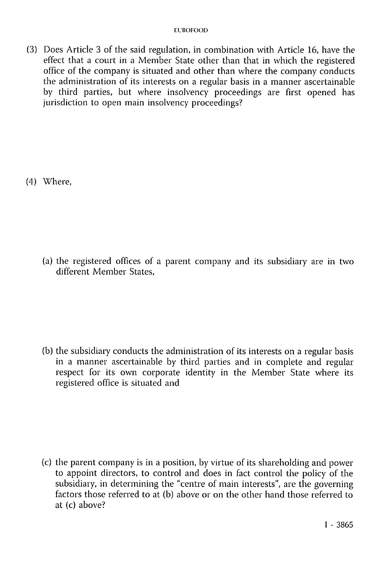(3) Does Article 3 of the said regulation, in combination with Article 16, have the effect that a court in a Member State other than that in which the registered office of the company is situated and other than where the company conducts the administration of its interests on a regular basis in a manner ascertainable by third parties, but where insolvency proceedings are first opened has jurisdiction to open main insolvency proceedings?

(4) Where,

(a) the registered offices of a parent company and its subsidiary are in two different Member States,

(b) the subsidiary conducts the administration of its interests on a regular basis in a manner ascertainable by third parties and in complete and regular respect for its own corporate identity in the Member State where its registered office is situated and

(c) the parent company is in a position, by virtue of its shareholding and power to appoint directors, to control and does in fact control the policy of the subsidiary, in determining the "centre of main interests", are the governing factors those referred to at (b) above or on the other hand those referred to at (c) above?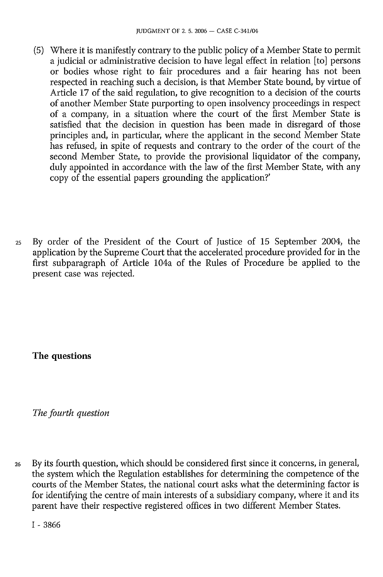- (5) Where it is manifestly contrary to the public policy of a Member State to permit a judicial or administrative decision to have legal effect in relation [to] persons or bodies whose right to fair procedures and a fair hearing has not been respected in reaching such a decision, is that Member State bound, by virtue of Article 17 of the said regulation, to give recognition to a decision of the courts of another Member State purporting to open insolvency proceedings in respect of a company, in a situation where the court of the first Member State is satisfied that the decision in question has been made in disregard of those principles and, in particular, where the applicant in the second Member State has refused, in spite of requests and contrary to the order of the court of the second Member State, to provide the provisional liquidator of the company, duly appointed in accordance with the law of the first Member State, with any copy of the essential papers grounding the application?'
- 25 By order of the President of the Court of Justice of 15 September 2004, the application by the Supreme Court that the accelerated procedure provided for in the first subparagraph of Article 104a of the Rules of Procedure be applied to the present case was rejected.

**The questions** 

*The fourth question* 

26 By its fourth question, which should be considered first since it concerns, in general, the system which the Regulation establishes for determining the competence of the courts of the Member States, the national court asks what the determining factor is for identifying the centre of main interests of a subsidiary company, where it and its parent have their respective registered offices in two different Member States.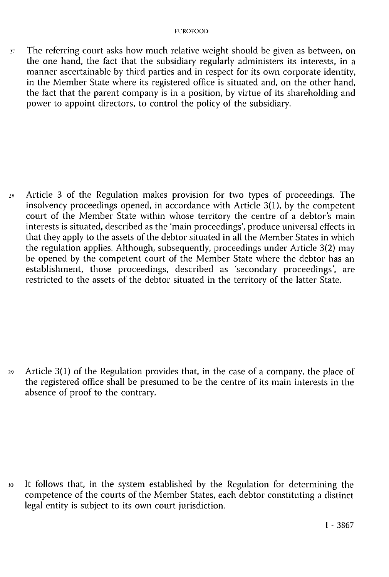$27$  The referring court asks how much relative weight should be given as between, on the one hand, the fact that the subsidiary regularly administers its interests, in a manner ascertainable by third parties and in respect for its own corporate identity, in the Member State where its registered office is situated and, on the other hand, the fact that the parent company is in a position, by virtue of its shareholding and power to appoint directors, to control the policy of the subsidiary.

28 Article 3 of the Regulation makes provision for two types of proceedings. The insolvency proceedings opened, in accordance with Article 3(1), by the competent court of the Member State within whose territory the centre of a debtor's main interests is situated, described as the 'main proceedings', produce universal effects in that they apply to the assets of the debtor situated in all the Member States in which the regulation applies. Although, subsequently, proceedings under Article 3(2) may be opened by the competent court of the Member State where the debtor has an establishment, those proceedings, described as 'secondary proceedings', are restricted to the assets of the debtor situated in the territory of the latter State.

29 Article 3(1) of the Regulation provides that, in the case of a company, the place of the registered office shall be presumed to be the centre of its main interests in the absence of proof to the contrary.

30 It follows that, in the system established by the Regulation for determining the competence of the courts of the Member States, each debtor constituting a distinct legal entity is subject to its own court jurisdiction.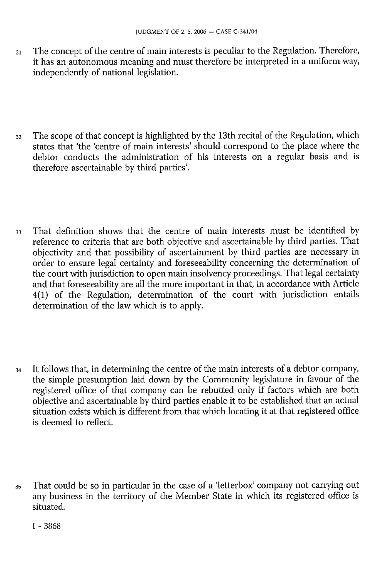- 31 The concept of the centre of main interests is peculiar to the Regulation. Therefore, it has an autonomous meaning and must therefore be interpreted in a uniform way, independently of national legislation.
- 32 The scope of that concept is highlighted by the 13th recital of the Regulation, which states that 'the 'centre of main interests' should correspond to the place where the debtor conducts the administration of his interests on a regular basis and is therefore ascertainable by third parties'.
- 33 That definition shows that the centre of main interests must be identified by reference to criteria that are both objective and ascertainable by third parties. That objectivity and that possibility of ascertainment by third parties are necessary in order to ensure legal certainty and foreseeability concerning the determination of the court with jurisdiction to open main insolvency proceedings. That legal certainty and that foreseeability are all the more important in that, in accordance with Article 4(1) of the Regulation, determination of the court with jurisdiction entails determination of the law which is to apply.
- 34 It follows that, in determining the centre of the main interests of a debtor company, the simple presumption laid down by the Community legislature in favour of the registered office of that company can be rebutted only if factors which are both objective and ascertainable by third parties enable it to be established that an actual situation exists which is different from that which locating it at that registered office is deemed to reflect.
- 35 That could be so in particular in the case of a 'letterbox' company not carrying out any business in the territory of the Member State in which its registered office is situated.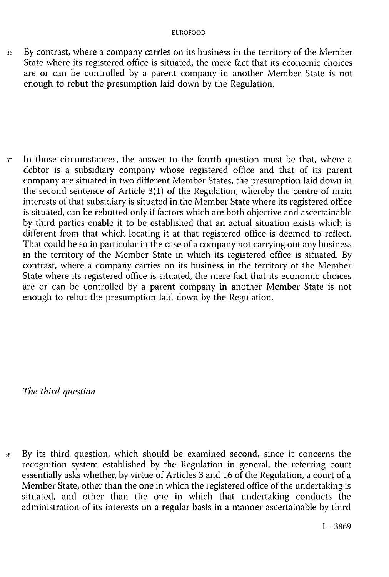36 By contrast, where a company carries on its business in the territory of the Member State where its registered office is situated, the mere fact that its economic choices are or can be controlled by a parent company in another Member State is not enough to rebut the presumption laid down by the Regulation.

 $37$  In those circumstances, the answer to the fourth question must be that, where a debtor is a subsidiary company whose registered office and that of its parent company are situated in two different Member States, the presumption laid down in the second sentence of Article 3(1) of the Regulation, whereby the centre of main interests of that subsidiary is situated in the Member State where its registered office is situated, can be rebutted only if factors which are both objective and ascertainable by third parties enable it to be established that an actual situation exists which is different from that which locating it at that registered office is deemed to reflect. That could be so in particular in the case of a company not carrying out any business in the territory of the Member State in which its registered office is situated. By contrast, where a company carries on its business in the territory of the Member State where its registered office is situated, the mere fact that its economic choices are or can be controlled by a parent company in another Member State is not enough to rebut the presumption laid down by the Regulation.

*The third question* 

38 By its third question, which should be examined second, since it concerns the recognition system established by the Regulation in general, the referring court essentially asks whether, by virtue of Articles 3 and 16 of the Regulation, a court of a Member State, other than the one in which the registered office of the undertaking is situated, and other than the one in which that undertaking conducts the administration of its interests on a regular basis in a manner ascertainable by third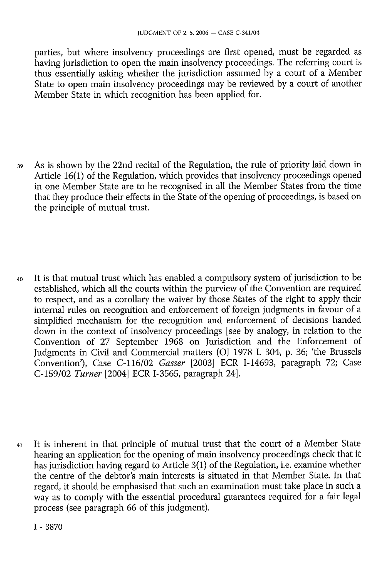parties, but where insolvency proceedings are first opened, must be regarded as having jurisdiction to open the main insolvency proceedings. The referring court is thus essentially asking whether the jurisdiction assumed by a court of a Member State to open main insolvency proceedings may be reviewed by a court of another Member State in which recognition has been applied for.

- 39 As is shown by the 22nd recital of the Regulation, the rule of priority laid down in Article 16(1) of the Regulation, which provides that insolvency proceedings opened in one Member State are to be recognised in all the Member States from the time that they produce their effects in the State of the opening of proceedings, is based on the principle of mutual trust.
- 40 It is that mutual trust which has enabled a compulsory system of jurisdiction to be established, which all the courts within the purview of the Convention are required to respect, and as a corollary the waiver by those States of the right to apply their internal rules on recognition and enforcement of foreign judgments in favour of a simplified mechanism for the recognition and enforcement of decisions handed down in the context of insolvency proceedings [see by analogy, in relation to the Convention of 27 September 1968 on Jurisdiction and the Enforcement of Judgments in Civil and Commercial matters (OJ 1978 L 304, p. 36; 'the Brussels Convention'), Case C-116/02 *Gasser* [2003] ECR I-14693, paragraph 72; Case C-159/02 *Turner* [2004] ECR I-3565, paragraph 24].

41 It is inherent in that principle of mutual trust that the court of a Member State hearing an application for the opening of main insolvency proceedings check that it has jurisdiction having regard to Article 3(1) of the Regulation, i.e. examine whether the centre of the debtor's main interests is situated in that Member State. In that regard, it should be emphasised that such an examination must take place in such a way as to comply with the essential procedural guarantees required for a fair legal process (see paragraph 66 of this judgment).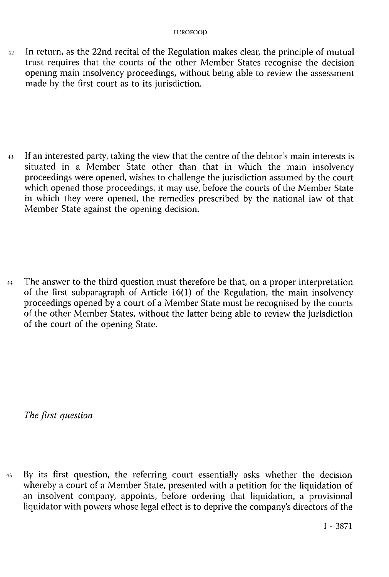42 In return, as the 22nd recital of the Regulation makes clear, the principle of mutual trust requires that the courts of the other Member States recognise the decision opening main insolvency proceedings, without being able to review the assessment made by the first court as to its jurisdiction.

<sup>43</sup> If an interested party, taking the view that the centre of the debtor's main interests is situated in a Member State other than that in which the main insolvency proceedings were opened, wishes to challenge the jurisdiction assumed by the court which opened those proceedings, it may use, before the courts of the Member State in which they were opened, the remedies prescribed by the national law of that Member State against the opening decision.

4 4 The answer to the third question must therefore be that, on a proper interpretation of the first subparagraph of Article 16(1) of the Regulation, the main insolvency proceedings opened by a court of a Member State must be recognised by the courts of the other Member States, without the latter being able to review the jurisdiction of the court of the opening State.

*The first question* 

45 By its first question, the referring court essentially asks whether the decision whereby a court of a Member State, presented with a petition for the liquidation of an insolvent company, appoints, before ordering that liquidation, a provisional liquidator with powers whose legal effect is to deprive the company's directors of the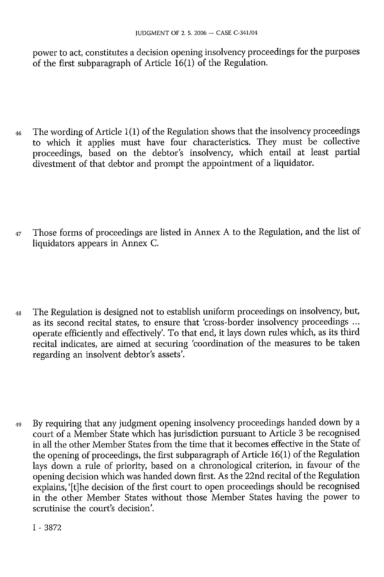power to act, constitutes a decision opening insolvency proceedings for the purposes of the first subparagraph of Article 16(1) of the Regulation.

- 46 The wording of Article 1(1) of the Regulation shows that the insolvency proceedings to which it applies must have four characteristics. They must be collective proceedings, based on the debtor's insolvency, which entail at least partial divestment of that debtor and prompt the appointment of a liquidator.
- 47 Those forms of proceedings are listed in Annex A to the Regulation, and the list of liquidators appears in Annex C.
- 48 The Regulation is designed not to establish uniform proceedings on insolvency, but, as its second recital states, to ensure that 'cross-border insolvency proceedings ... operate efficiently and effectively'. To that end, it lays down rules which, as its third recital indicates, are aimed at securing 'coordination of the measures to be taken regarding an insolvent debtor's assets'.
- 49 By requiring that any judgment opening insolvency proceedings handed down by a court of a Member State which has jurisdiction pursuant to Article 3 be recognised in all the other Member States from the time that it becomes effective in the State of the opening of proceedings, the first subparagraph of Article 16(1) of the Regulation lays down a rule of priority, based on a chronological criterion, in favour of the opening decision which was handed down first. As the 22nd recital of the Regulation explains, '[t] he decision of the first court to open proceedings should be recognised in the other Member States without those Member States having the power to scrutinise the court's decision'.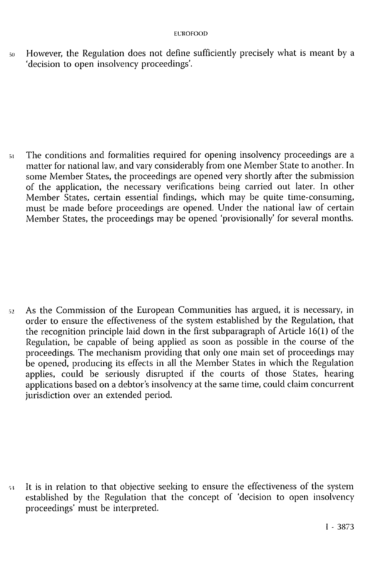50 However, the Regulation does not define sufficiently precisely what is meant by a 'decision to open insolvency proceedings'.

51 The conditions and formalities required for opening insolvency proceedings are a matter for national law, and vary considerably from one Member State to another. In some Member States, the proceedings are opened very shortly after the submission of the application, the necessary verifications being carried out later. In other Member States, certain essential findings, which may be quite time-consuming, must be made before proceedings are opened. Under the national law of certain Member States, the proceedings may be opened 'provisionally' for several months.

52 As the Commission of the European Communities has argued, it is necessary, in order to ensure the effectiveness of the system established by the Regulation, that the recognition principle laid down in the first subparagraph of Article 16(1) of the Regulation, be capable of being applied as soon as possible in the course of the proceedings. The mechanism providing that only one main set of proceedings may be opened, producing its effects in all the Member States in which the Regulation applies, could be seriously disrupted if the courts of those States, hearing applications based on a debtor's insolvency at the same time, could claim concurrent jurisdiction over an extended period.

53 It is in relation to that objective seeking to ensure the effectiveness of the system established by the Regulation that the concept of 'decision to open insolvency proceedings' must be interpreted.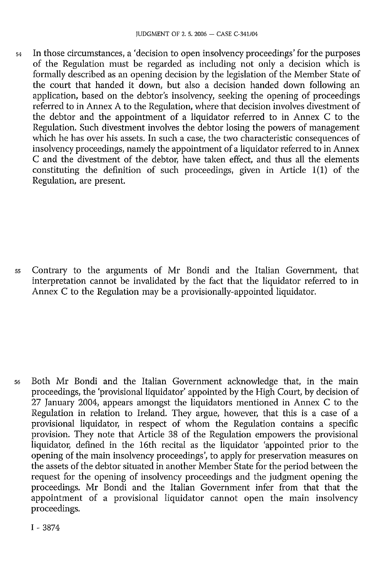54 In those circumstances, a 'decision to open insolvency proceedings' for the purposes of the Regulation must be regarded as including not only a decision which is formally described as an opening decision by the legislation of the Member State of the court that handed it down, but also a decision handed down following an application, based on the debtor's insolvency, seeking the opening of proceedings referred to in Annex A to the Regulation, where that decision involves divestment of the debtor and the appointment of a liquidator referred to in Annex C to the Regulation. Such divestment involves the debtor losing the powers of management which he has over his assets. In such a case, the two characteristic consequences of insolvency proceedings, namely the appointment of a liquidator referred to in Annex C and the divestment of the debtor, have taken effect, and thus all the elements constituting the definition of such proceedings, given in Article 1(1) of the Regulation, are present.

55 Contrary to the arguments of Mr Bondi and the Italian Government, that interpretation cannot be invalidated by the fact that the liquidator referred to in Annex C to the Regulation may be a provisionally-appointed liquidator.

56 Both Mr Bondi and the Italian Government acknowledge that, in the main proceedings, the 'provisional liquidator' appointed by the High Court, by decision of 27 January 2004, appears amongst the liquidators mentioned in Annex C to the Regulation in relation to Ireland. They argue, however, that this is a case of a provisional liquidator, in respect of whom the Regulation contains a specific provision. They note that Article 38 of the Regulation empowers the provisional liquidator, defined in the 16th recital as the liquidator 'appointed prior to the opening of the main insolvency proceedings', to apply for preservation measures on the assets of the debtor situated in another Member State for the period between the request for the opening of insolvency proceedings and the judgment opening the proceedings. Mr Bondi and the Italian Government infer from that that the appointment of a provisional liquidator cannot open the main insolvency proceedings.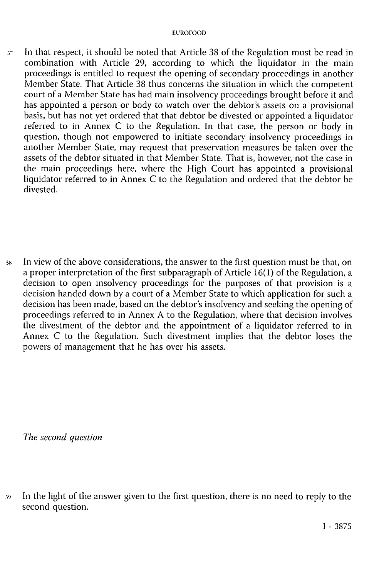57 In that respect, it should be noted that Article 38 of the Regulation must be read in combination with Article 29, according to which the liquidator in the main proceedings is entitled to request the opening of secondary proceedings in another Member State. That Article 38 thus concerns the situation in which the competent court of a Member State has had main insolvency proceedings brought before it and has appointed a person or body to watch over the debtor's assets on a provisional basis, but has not yet ordered that that debtor be divested or appointed a liquidator referred to in Annex C to the Regulation. In that case, the person or body in question, though not empowered to initiate secondary insolvency proceedings in another Member State, may request that preservation measures be taken over the assets of the debtor situated in that Member State. That is, however, not the case in the main proceedings here, where the High Court has appointed a provisional liquidator referred to in Annex C to the Regulation and ordered that the debtor be divested.

58 In view of the above considerations, the answer to the first question must be that, on a proper interpretation of the first subparagraph of Article 16(1) of the Regulation, a decision to open insolvency proceedings for the purposes of that provision is a decision handed down by a court of a Member State to which application for such a decision has been made, based on the debtor's insolvency and seeking the opening of proceedings referred to in Annex A to the Regulation, where that decision involves the divestment of the debtor and the appointment of a liquidator referred to in Annex C to the Regulation. Such divestment implies that the debtor loses the powers of management that he has over his assets.

*The second question* 

59 In the light of the answer given to the first question, there is no need to reply to the second question.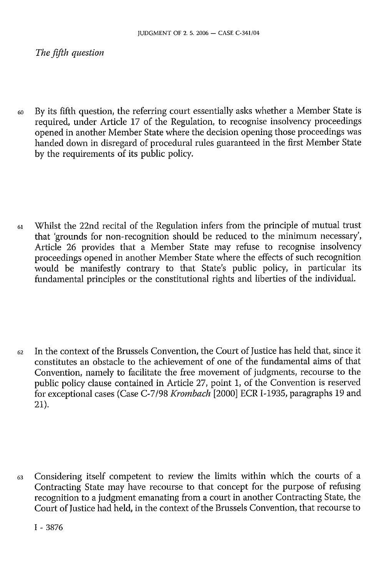*The fifth question* 

60 By its fifth question, the referring court essentially asks whether a Member State is required, under Article 17 of the Regulation, to recognise insolvency proceedings opened in another Member State where the decision opening those proceedings was handed down in disregard of procedural rules guaranteed in the first Member State by the requirements of its public policy.

61 Whilst the 22nd recital of the Regulation infers from the principle of mutual trust that 'grounds for non-recognition should be reduced to the minimum necessary', Article 26 provides that a Member State may refuse to recognise insolvency proceedings opened in another Member State where the effects of such recognition would be manifestly contrary to that State's public policy, in particular its fundamental principles or the constitutional rights and liberties of the individual.

 $62$  In the context of the Brussels Convention, the Court of Justice has held that, since it constitutes an obstacle to the achievement of one of the fundamental aims of that Convention, namely to facilitate the free movement of judgments, recourse to the public policy clause contained in Article 27, point 1, of the Convention is reserved for exceptional cases (Case C-7/98 *Krombach* [2000] ECR I-1935, paragraphs 19 and 21).

63 Considering itself competent to review the limits within which the courts of a Contracting State may have recourse to that concept for the purpose of refusing recognition to a judgment emanating from a court in another Contracting State, the Court of Justice had held, in the context of the Brussels Convention, that recourse to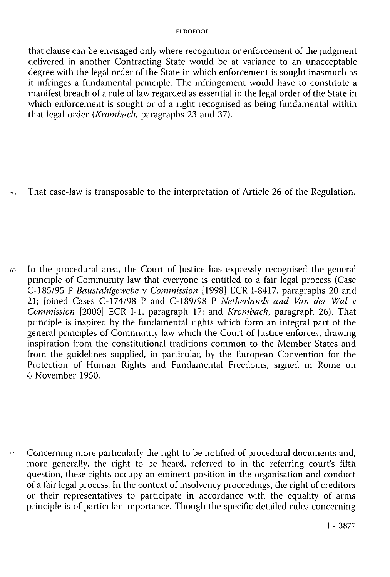#### EUROFOOD

that clause can be envisaged only where recognition or enforcement of the judgment delivered in another Contracting State would be at variance to an unacceptable degree with the legal order of the State in which enforcement is sought inasmuch as it infringes a fundamental principle. The infringement would have to constitute a manifest breach of a rule of law regarded as essential in the legal order of the State in which enforcement is sought or of a right recognised as being fundamental within that legal order *(Krombach,* paragraphs 23 and 37).

*64* That case-law is transposable to the interpretation of Article 26 of the Regulation.

65 In the procedural area, the Court of Justice has expressly recognised the general principle of Community law that everyone is entitled to a fair legal process (Case C-185/95 P *Baustahlgewebe* v *Commission* [1998] ECR I-8417, paragraphs 20 and 21; Joined Cases C-174/98 P and C-189/98 P *Netherlands and Van der Wal* v *Commission* [2000] ECR I-1, paragraph 17; and *Krombach,* paragraph 26). That principle is inspired by the fundamental rights which form an integral part of the general principles of Community law which the Court of Justice enforces, drawing inspiration from the constitutional traditions common to the Member States and from the guidelines supplied, in particular, by the European Convention for the Protection of Human Rights and Fundamental Freedoms, signed in Rome on 4 November 1950.

66 Concerning more particularly the right to be notified of procedural documents and, more generally, the right to be heard, referred to in the referring court's fifth question, these rights occupy an eminent position in the organisation and conduct of a fair legal process. In the context of insolvency proceedings, the right of creditors or their representatives to participate in accordance with the equality of arms principle is of particular importance. Though the specific detailed rules concerning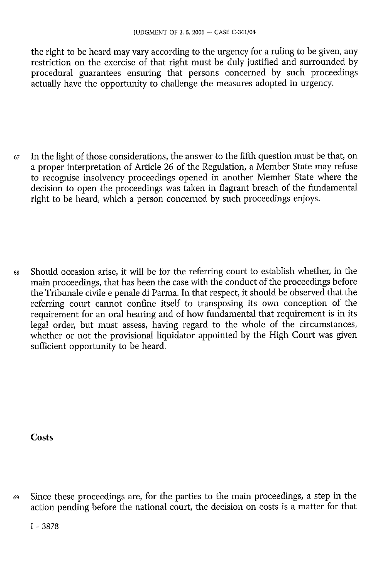the right to be heard may vary according to the urgency for a ruling to be given, any restriction on the exercise of that right must be duly justified and surrounded by procedural guarantees ensuring that persons concerned by such proceedings actually have the opportunity to challenge the measures adopted in urgency.

67 In the light of those considerations, the answer to the fifth question must be that, on a proper interpretation of Article 26 of the Regulation, a Member State may refuse to recognise insolvency proceedings opened in another Member State where the decision to open the proceedings was taken in flagrant breach of the fundamental right to be heard, which a person concerned by such proceedings enjoys.

68 Should occasion arise, it will be for the referring court to establish whether, in the main proceedings, that has been the case with the conduct of the proceedings before the Tribunale civile e penale di Parma. In that respect, it should be observed that the referring court cannot confine itself to transposing its own conception of the requirement for an oral hearing and of how fundamental that requirement is in its legal order, but must assess, having regard to the whole of the circumstances, whether or not the provisional liquidator appointed by the High Court was given sufficient opportunity to be heard.

**Costs** 

69 Since these proceedings are, for the parties to the main proceedings, a step in the action pending before the national court, the decision on costs is a matter for that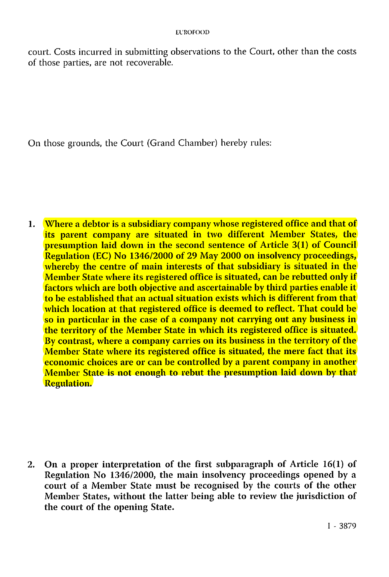court. Costs incurred in submitting observations to the Court, other than the costs of those parties, are not recoverable.

On those grounds, the Court (Grand Chamber) hereby rules:

1. Where a debtor is a subsidiary company whose registered office and that of its parent company are situated in two different Member States, the presumption laid down in the second sentence of Article 3(1) of Council Regulation (EC) No 1346/2000 of 29 May 2000 on insolvency proceedings, whereby the centre of main interests of that subsidiary is situated in the Member State where its registered office is situated, can be rebutted only if factors which are both objective and ascertainable by third parties enable it to be established that an actual situation exists which is different from that which location at that registered office is deemed to reflect. That could be so in particular in the case of a company not carrying out any business in the territory of the Member State in which its registered office is situated. By contrast, where a company carries on its business in the territory of the Member State where its registered office is situated, the mere fact that its economic choices are or can be controlled by a parent company in another Member State is not enough to rebut the presumption laid down by that Regulation.

2. On a proper interpretation of the first subparagraph of Article 16(1) of Regulation No 1346/2000, the main insolvency proceedings opened by a court of a Member State must be recognised by the courts of the other Member States, without the latter being able to review the jurisdiction of the court of the opening State.